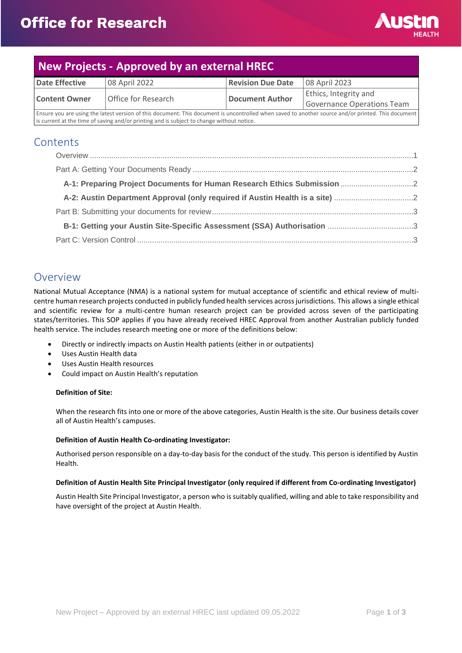

## **New Projects - Approved by an external HREC Date Effective**  $\begin{array}{c|c} \hline \text{08 April 2022} \\ \hline \end{array}$  **Revision Due Date**  $\begin{array}{c|c} \hline \text{08 April 2023} \\ \hline \end{array}$ **Content Owner Office for Research <b>Document Author** Ethics, Integrity and Governance Operations Team Ensure you are using the latest version of this document: This document is uncontrolled when saved to another source and/or printed. This document is current at the time of saving and/or printing and is subject to change without notice.

### **Contents**

| A-2: Austin Department Approval (only required if Austin Health is a site) |  |
|----------------------------------------------------------------------------|--|
|                                                                            |  |
|                                                                            |  |
|                                                                            |  |

### <span id="page-0-0"></span>Overview

National Mutual Acceptance (NMA) is a national system for mutual acceptance of scientific and ethical review of multicentre human research projects conducted in publicly funded health services across jurisdictions. This allows a single ethical and scientific review for a multi-centre human research project can be provided across seven of the participating states/territories. This SOP applies if you have already received HREC Approval from another Australian publicly funded health service. The includes research meeting one or more of the definitions below:

- Directly or indirectly impacts on Austin Health patients (either in or outpatients)
- Uses Austin Health data
- Uses Austin Health resources
- Could impact on Austin Health's reputation

#### **Definition of Site:**

When the research fits into one or more of the above categories, Austin Health is the site. Our business details cover all of Austin Health's campuses.

#### **Definition of Austin Health Co-ordinating Investigator:**

Authorised person responsible on a day-to-day basis for the conduct of the study. This person is identified by Austin Health.

#### **Definition of Austin Health Site Principal Investigator (only required if different from Co-ordinating Investigator)**

Austin Health Site Principal Investigator, a person who is suitably qualified, willing and able to take responsibility and have oversight of the project at Austin Health.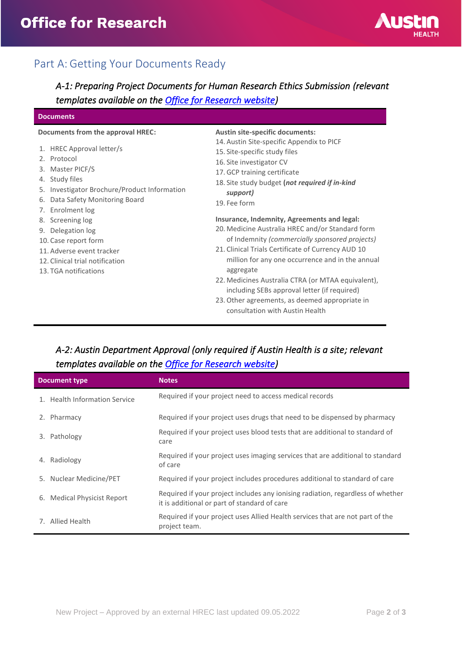

# <span id="page-1-0"></span>Part A: Getting Your Documents Ready

<span id="page-1-1"></span>*A-1: Preparing Project Documents for Human Research Ethics Submission (relevant templates available on the [Office for Research website\)](https://www.austin.org.au/resources-for-researchers/)* 

#### **Documents**

#### **Documents from the approval HREC:**

- 1. HREC Approval letter/s
- 2. Protocol
- 3. Master PICF/S
- 4. Study files
- 5. Investigator Brochure/Product Information
- 6. Data Safety Monitoring Board
- 7. Enrolment log
- 8. Screening log
- 9. Delegation log
- 10. Case report form
- 11. Adverse event tracker
- 12. Clinical trial notification
- 13. TGA notifications

**Austin site-specific documents:**

- 14. Austin Site-specific Appendix to PICF
- 15. Site-specific study files
- 16. Site investigator CV
- 17.GCP training certificate
- 18. Site study budget **(***not required if in-kind support)*
- 19. Fee form

#### **Insurance, Indemnity, Agreements and legal:**

- 20. Medicine Australia HREC and/or Standard form of Indemnity *(commercially sponsored projects)*
- 21. Clinical Trials Certificate of Currency AUD 10 million for any one occurrence and in the annual aggregate
- 22. Medicines Australia CTRA (or MTAA equivalent), including SEBs approval letter (if required)
- 23.Other agreements, as deemed appropriate in consultation with Austin Health

### <span id="page-1-2"></span>*A-2: Austin Department Approval (only required if Austin Health is a site; relevant templates available on the [Office for Research website\)](https://www.austin.org.au/resources-for-researchers/)*

| <b>Document type</b>                  | <b>Notes</b>                                                                                                                    |
|---------------------------------------|---------------------------------------------------------------------------------------------------------------------------------|
| 1. Health Information Service         | Required if your project need to access medical records                                                                         |
| Pharmacy<br>2.                        | Required if your project uses drugs that need to be dispensed by pharmacy                                                       |
| Pathology<br>3.                       | Required if your project uses blood tests that are additional to standard of<br>care                                            |
| 4. Radiology                          | Required if your project uses imaging services that are additional to standard<br>of care                                       |
| 5. Nuclear Medicine/PET               | Required if your project includes procedures additional to standard of care                                                     |
| <b>Medical Physicist Report</b><br>6. | Required if your project includes any ionising radiation, regardless of whether<br>it is additional or part of standard of care |
| 7. Allied Health                      | Required if your project uses Allied Health services that are not part of the<br>project team.                                  |